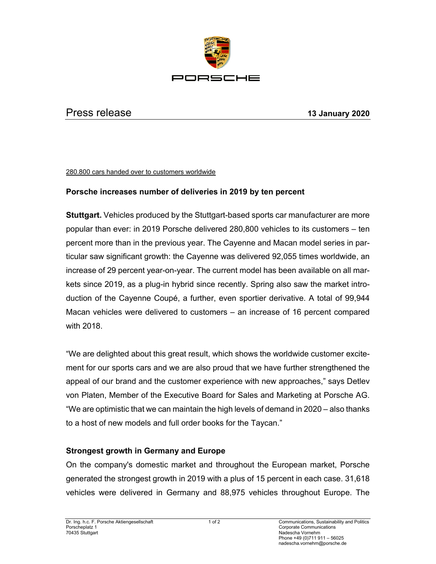

## Press release **13 January 2020**

## 280.800 cars handed over to customers worldwide

## **Porsche increases number of deliveries in 2019 by ten percent**

**Stuttgart.** Vehicles produced by the Stuttgart-based sports car manufacturer are more popular than ever: in 2019 Porsche delivered 280,800 vehicles to its customers – ten percent more than in the previous year. The Cayenne and Macan model series in particular saw significant growth: the Cayenne was delivered 92,055 times worldwide, an increase of 29 percent year-on-year. The current model has been available on all markets since 2019, as a plug-in hybrid since recently. Spring also saw the market introduction of the Cayenne Coupé, a further, even sportier derivative. A total of 99,944 Macan vehicles were delivered to customers – an increase of 16 percent compared with 2018.

"We are delighted about this great result, which shows the worldwide customer excitement for our sports cars and we are also proud that we have further strengthened the appeal of our brand and the customer experience with new approaches," says Detlev von Platen, Member of the Executive Board for Sales and Marketing at Porsche AG. "We are optimistic that we can maintain the high levels of demand in 2020 – also thanks to a host of new models and full order books for the Taycan."

## **Strongest growth in Germany and Europe**

On the company's domestic market and throughout the European market, Porsche generated the strongest growth in 2019 with a plus of 15 percent in each case. 31,618 vehicles were delivered in Germany and 88,975 vehicles throughout Europe. The